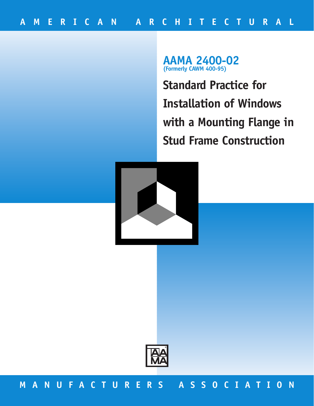**AAMA 2400-02 (Formerly CAWM 400-95)**

**Standard Practice for Installation of Windows with a Mounting Flange in Stud Frame Construction** 





# **MANUFACTURERS ASSOCIATION**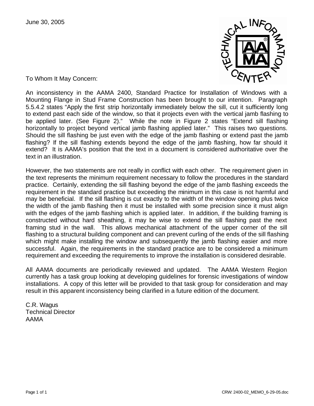

To Whom It May Concern:

An inconsistency in the AAMA 2400, Standard Practice for Installation of Windows with a Mounting Flange in Stud Frame Construction has been brought to our intention. Paragraph 5.5.4.2 states "Apply the first strip horizontally immediately below the sill, cut it sufficiently long to extend past each side of the window, so that it projects even with the vertical jamb flashing to be applied later. (See Figure 2)." While the note in Figure 2 states "Extend sill flashing horizontally to project beyond vertical jamb flashing applied later." This raises two questions. Should the sill flashing be just even with the edge of the jamb flashing or extend past the jamb flashing? If the sill flashing extends beyond the edge of the jamb flashing, how far should it extend? It is AAMA's position that the text in a document is considered authoritative over the text in an illustration.

However, the two statements are not really in conflict with each other. The requirement given in the text represents the minimum requirement necessary to follow the procedures in the standard practice. Certainly, extending the sill flashing beyond the edge of the jamb flashing exceeds the requirement in the standard practice but exceeding the minimum in this case is not harmful and may be beneficial. If the sill flashing is cut exactly to the width of the window opening plus twice the width of the jamb flashing then it must be installed with some precision since it must align with the edges of the jamb flashing which is applied later. In addition, if the building framing is constructed without hard sheathing, it may be wise to extend the sill flashing past the next framing stud in the wall. This allows mechanical attachment of the upper corner of the sill flashing to a structural building component and can prevent curling of the ends of the sill flashing which might make installing the window and subsequently the jamb flashing easier and more successful. Again, the requirements in the standard practice are to be considered a minimum requirement and exceeding the requirements to improve the installation is considered desirable.

All AAMA documents are periodically reviewed and updated. The AAMA Western Region currently has a task group looking at developing guidelines for forensic investigations of window installations. A copy of this letter will be provided to that task group for consideration and may result in this apparent inconsistency being clarified in a future edition of the document.

C.R. Wagus Technical Director AAMA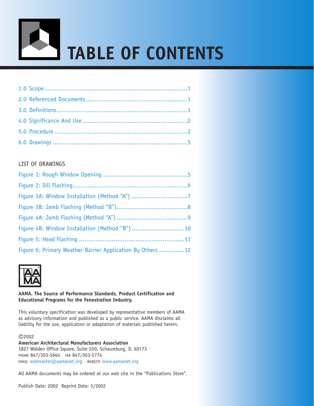

### LIST OF DRAWINGS

| Figure 4B: Window Installation (Method "B")10              |  |
|------------------------------------------------------------|--|
|                                                            |  |
| Figure 6: Primary Weather Barrier Application By Others 12 |  |



### **AAMA. The Source of Performance Standards, Product Certification and Educational Programs for the Fenestration Industry.**

This voluntary specification was developed by representative members of AAMA as advisory information and published as a public service. AAMA disclaims all liability for the use, application or adaptation of materials published herein.

©2002

**American Architectural Manufacturers Association** 1827 Walden Office Square, Suite 550, Schaumburg, IL 60173 PHONE 847/303-5664 FAX 847/303-5774 EMAIL [webmaster@aamanet.org](http://www.aamanet.org) WEBSITE [www.aamanet.org](mailto:webmaster@aamanet.org)

All AAMA documents may be ordered at our web site in the "Publications Store".

Publish Date: 2002 Reprint Date: 5/2002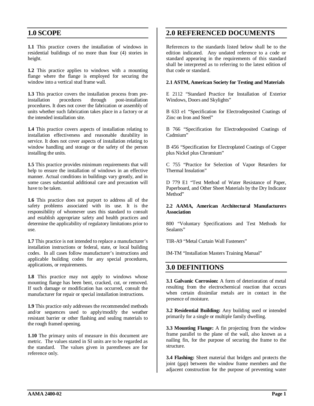### <span id="page-3-0"></span>**1.0 SCOPE**

**1.1** This practice covers the installation of windows in residential buildings of no more than four (4) stories in height.

**1.2** This practice applies to windows with a mounting flange where the flange is employed for securing the window into a vertical stud frame wall.

**1.3** This practice covers the installation process from preinstallation procedures through post-installation procedures. It does not cover the fabrication or assembly of units whether such fabrication takes place in a factory or at the intended installation site.

**1.4** This practice covers aspects of installation relating to installation effectiveness and reasonable durability in service. It does not cover aspects of installation relating to window handling and storage or the safety of the person installing the units.

**1.5** This practice provides minimum requirements that will help to ensure the installation of windows in an effective manner. Actual conditions in buildings vary greatly, and in some cases substantial additional care and precaution will have to be taken.

**1.6** This practice does not purport to address all of the safety problems associated with its use. It is the responsibility of whomever uses this standard to consult and establish appropriate safety and health practices and determine the applicability of regulatory limitations prior to use.

**1.7** This practice is not intended to replace a manufacturer's installation instructions or federal, state, or local building codes. In all cases follow manufacturer's instructions and applicable building codes for any special procedures, applications, or requirements.

**1.8** This practice may not apply to windows whose mounting flange has been bent, cracked, cut, or removed. If such damage or modification has occurred, consult the manufacturer for repair or special installation instructions.

**1.9** This practice only addresses the recommended methods and/or sequences used to apply/modify the weather resistant barrier or other flashing and sealing materials to the rough framed opening.

**1.10** The primary units of measure in this document are metric. The values stated in SI units are to be regarded as the standard. The values given in parentheses are for reference only.

### <span id="page-3-1"></span>**2.0 REFERENCED DOCUMENTS**

References to the standards listed below shall be to the edition indicated. Any undated reference to a code or standard appearing in the requirements of this standard shall be interpreted as to referring to the latest edition of that code or standard.

### **2.1 ASTM, American Society for Testing and Materials**

E 2112 "Standard Practice for Installation of Exterior Windows, Doors and Skylights"

B 633 e1 "Specification for Electrodeposited Coatings of Zinc on Iron and Steel"

B 766 "Specification for Electrodeposited Coatings of Cadmium"

B 456 "Specification for Electroplated Coatings of Copper plus Nickel plus Chromium"

C 755 "Practice for Selection of Vapor Retarders for Thermal Insulation"

D 779 E1 "Test Method of Water Resistance of Paper, Paperboard, and Other Sheet Materials by the Dry Indicator Method"

### **2.2 AAMA, American Architectural Manufacturers Association**

800 "Voluntary Specifications and Test Methods for Sealants"

TIR-A9 "Metal Curtain Wall Fasteners"

<span id="page-3-2"></span>IM-TM "Installation Masters Training Manual"

### **3.0 DEFINITIONS**

**3.1 Galvanic Corrosion:** A form of deterioration of metal resulting from the electrochemical reaction that occurs when certain dissimilar metals are in contact in the presence of moisture.

**3.2 Residential Building:** Any building used or intended primarily for a single or multiple family dwelling.

**3.3 Mounting Flange:** A fin projecting from the window frame parallel to the plane of the wall, also known as a nailing fin, for the purpose of securing the frame to the structure.

**3.4 Flashing:** Sheet material that bridges and protects the joint (gap) between the window frame members and the adjacent construction for the purpose of preventing water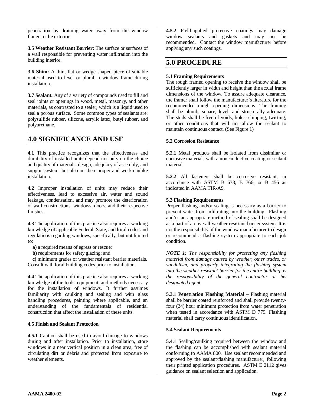penetration by draining water away from the window flange to the exterior.

**3.5 Weather Resistant Barrier:** The surface or surfaces of a wall responsible for preventing water infiltration into the building interior.

**3.6 Shim:** A thin, flat or wedge shaped piece of suitable material used to level or plumb a window frame during installation.

**3.7 Sealant:** Any of a variety of compounds used to fill and seal joints or openings in wood, metal, masonry, and other materials, as contrasted to a sealer; which is a liquid used to seal a porous surface. Some common types of sealants are: polysulfide rubber, silicone, acrylic latex, butyl rubber, and polyurethane.

### <span id="page-4-0"></span>**4.0 SIGNIFICANCE AND USE**

**4.1** This practice recognizes that the effectiveness and durability of installed units depend not only on the choice and quality of materials, design, adequacy of assembly, and support system, but also on their proper and workmanlike installation.

**4.2** Improper installation of units may reduce their effectiveness, lead to excessive air, water and sound leakage, condensation, and may promote the deterioration of wall constructions, windows, doors, and their respective finishes.

**4.3** The application of this practice also requires a working knowledge of applicable Federal, State, and local codes and regulations regarding windows, specifically, but not limited to:

**a)** a required means of egress or rescue;

**b)** requirements for safety glazing; and

**c)** minimum grades of weather resistant barrier materials. Consult with local building codes prior to installation.

**4.4** The application of this practice also requires a working knowledge of the tools, equipment, and methods necessary for the installation of windows. It further assumes familiarity with caulking and sealing and with glass handling procedures, painting where applicable, and an understanding of the fundamentals of residential construction that affect the installation of these units.

#### **4.5 Finish and Sealant Protection**

**4.5.1** Caution shall be used to avoid damage to windows during and after installation. Prior to installation, store windows in a near vertical position in a clean area, free of circulating dirt or debris and protected from exposure to weather elements.

**4.5.2** Field-applied protective coatings may damage window sealants and gaskets and may not be recommended. Contact the window manufacturer before applying any such coatings.

### <span id="page-4-1"></span>**5.0 PROCEDURE**

### **5.1 Framing Requirements**

The rough framed opening to receive the window shall be sufficiently larger in width and height than the actual frame dimensions of the window. To assure adequate clearance, the framer shall follow the manufacturer's literature for the recommended rough opening dimensions. The framing shall be plumb, square, level, and structurally adequate. The studs shall be free of voids, holes, chipping, twisting, or other conditions that will not allow the sealant to maintain continuous contact. (See Figure 1)

#### **5.2 Corrosion Resistance**

**5.2.1** Metal products shall be isolated from dissimilar or corrosive materials with a nonconductive coating or sealant material.

**5.2.2** All fasteners shall be corrosive resistant, in accordance with ASTM B 633, B 766, or B 456 as indicated in AAMA TIR-A9.

#### **5.3 Flashing Requirements**

Proper flashing and/or sealing is necessary as a barrier to prevent water from infiltrating into the building. Flashing and/or an appropriate method of sealing shall be designed as a part of an overall weather resistant barrier system. It is not the responsibility of the window manufacturer to design or recommend a flashing system appropriate to each job condition.

*NOTE 1: The responsibility for protecting any flashing material from damage caused by weather, other trades, or vandalism, and properly integrating the flashing system into the weather resistant barrier for the entire building, is the responsibility of the general contractor or his designated agent.* 

**5.3.1 Penetration Flashing Material** – Flashing material shall be barrier coated reinforced and shall provide twentyfour (24) hour minimum protection from water penetration when tested in accordance with ASTM D 779. Flashing material shall carry continuous identification.

#### **5.4 Sealant Requirements**

**5.4.1** Sealing/caulking required between the window and the flashing can be accomplished with sealant material conforming to AAMA 800. Use sealant recommended and approved by the sealant/flashing manufacturer, following their printed application procedures. ASTM E 2112 gives guidance on sealant selection and application.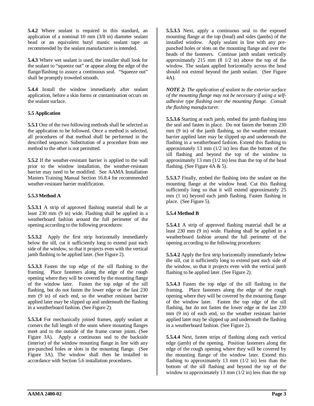**5.4.2** Where sealant is required in this standard, an application of a nominal 10 mm (3/8 in) diameter sealant bead or an equivalent butyl mastic sealant tape as recommended by the sealant manufacturer is intended.

**5.4.3** Where wet sealant is used, the installer shall look for the sealant to "squeeze out" or appear along the edge of the flange/flashing to assure a continuous seal. "Squeeze out" shall be promptly troweled smooth.

**5.4.4** Install the window immediately after sealant application, before a skin forms or contamination occurs on the sealant surface.

### **5.5 Application**

**5.5.1** One of the two following methods shall be selected as the application to be followed. Once a method is selected, all procedures of that method shall be performed in the described sequence. Substitution of a procedure from one method to the other is not permitted.

**5.5.2** If the weather-resistant barrier is applied to the wall prior to the window installation, the weather-resistant barrier may need to be modified. See AAMA Installation Masters Training Manual Section 16.8.4 for recommended weather-resistant barrier modification.

### **5.5.3 Method A**

**5.5.3.1** A strip of approved flashing material shall be at least 230 mm (9 in) wide. Flashing shall be applied in a weatherboard fashion around the full perimeter of the opening according to the following procedures:

**5.5.3.2** Apply the first strip horizontally immediately below the sill, cut it sufficiently long to extend past each side of the window, so that it projects even with the vertical jamb flashing to be applied later. (See Figure 2).

**5.5.3.3** Fasten the top edge of the sill flashing to the framing. Place fasteners along the edge of the rough opening where they will be covered by the mounting flange of the window later. Fasten the top edge of the sill flashing, but do not fasten the lower edge or the last 230 mm (9 in) of each end, so the weather resistant barrier applied later may be slipped up and underneath the flashing in a weatherboard fashion. (See Figure 2).

**5.5.3.4** For mechanically joined frames, apply sealant at corners the full length of the seam where mounting flanges meet and to the outside of the frame corner joints. (See Figure 3A). Apply a continuous seal to the backside (interior) of the window mounting flange in line with any pre-punched holes or slots in the mounting flange. (See Figure 3A). The window shall then be installed in accordance with Section 5.6 installation procedures.

**5.5.3.5** Next, apply a continuous seal to the exposed mounting flange at the top (head) and sides (jambs) of the installed window. Apply sealant in line with any prepunched holes or slots on the mounting flange and over the heads of the fasteners. Continue jamb sealant vertically approximately 215 mm (8 1/2 in) above the top of the window. The sealant applied horizontally across the head should not extend beyond the jamb sealant. (See Figure 4A).

*NOTE 2: The application of sealant to the exterior surface of the mounting flange may not be necessary if using a selfadhesive type flashing over the mounting flange. Consult the flashing manufacturer.* 

**5.5.3.6** Starting at each jamb, embed the jamb flashing into the seal and fasten in place. Do not fasten the bottom 230 mm (9 in) of the jamb flashing, so the weather resistant barrier applied later may be slipped up and underneath the flashing in a weatherboard fashion. Extend this flashing to approximately 13 mm (1/2 in) less than the bottom of the sill flashing and beyond the top of the window to approximately 13 mm (1/2 in) less than the top of the head flashing. (See Figure 4A & 5).

**5.5.3.7** Finally, embed the flashing into the sealant on the mounting flange at the window head. Cut this flashing sufficiently long so that it will extend approximately 25 mm (1 in) beyond each jamb flashing. Fasten flashing in place. (See Figure 5).

### **5.5.4 Method B**

**5.5.4.1** A strip of approved flashing material shall be at least 230 mm (9 in) wide. Flashing shall be applied in a weatherboard fashion around the full perimeter of the opening according to the following procedures:

**5.5.4.2** Apply the first strip horizontally immediately below the sill, cut it sufficiently long to extend past each side of the window, so that it projects even with the vertical jamb flashing to be applied later. (See Figure 2).

**5.5.4.3** Fasten the top edge of the sill flashing to the framing. Place fasteners along the edge of the rough opening where they will be covered by the mounting flange of the window later. Fasten the top edge of the sill flashing, but do not fasten the lower edge or the last 230 mm (9 in) of each end, so the weather resistant barrier applied later may be slipped up and underneath the flashing in a weatherboard fashion. (See Figure 2).

**5.5.4.4** Next, fasten strips of flashing along each vertical edge (jamb) of the opening. Position fasteners along the edge of the rough opening where they will be covered by the mounting flange of the window later. Extend this flashing to approximately 13 mm  $(1/2$  in) less than the bottom of the sill flashing and beyond the top of the window to approximately 13 mm  $(1/2 \text{ in})$  less than the top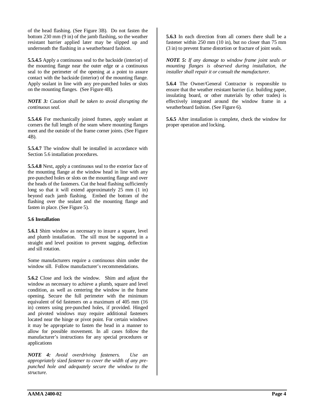of the head flashing. (See Figure 3B). Do not fasten the bottom 230 mm (9 in) of the jamb flashing, so the weather resistant barrier applied later may be slipped up and underneath the flashing in a weatherboard fashion.

**5.5.4.5** Apply a continuous seal to the backside (interior) of the mounting flange near the outer edge or a continuous seal to the perimeter of the opening at a point to assure contact with the backside (interior) of the mounting flange. Apply sealant in line with any pre-punched holes or slots on the mounting flanges. (See Figure 4B).

*NOTE 3: Caution shall be taken to avoid disrupting the continuous seal.* 

**5.5.4.6** For mechanically joined frames, apply sealant at corners the full length of the seam where mounting flanges meet and the outside of the frame corner joints. (See Figure 4B).

**5.5.4.7** The window shall be installed in accordance with Section 5.6 installation procedures.

**5.5.4.8** Next, apply a continuous seal to the exterior face of the mounting flange at the window head in line with any pre-punched holes or slots on the mounting flange and over the heads of the fasteners. Cut the head flashing sufficiently long so that it will extend approximately 25 mm  $(1 \text{ in})$ beyond each jamb flashing. Embed the bottom of the flashing over the sealant and the mounting flange and fasten in place. (See Figure 5).

#### **5.6 Installation**

**5.6.1** Shim window as necessary to insure a square, level and plumb installation. The sill must be supported in a straight and level position to prevent sagging, deflection and sill rotation.

Some manufacturers require a continuous shim under the window sill. Follow manufacturer's recommendations.

**5.6.2** Close and lock the window. Shim and adjust the window as necessary to achieve a plumb, square and level condition, as well as centering the window in the frame opening. Secure the full perimeter with the minimum equivalent of 6d fasteners on a maximum of 405 mm (16 in) centers using pre-punched holes, if provided. Hinged and pivoted windows may require additional fasteners located near the hinge or pivot point. For certain windows it may be appropriate to fasten the head in a manner to allow for possible movement. In all cases follow the manufacturer's instructions for any special procedures or applications

*NOTE 4: Avoid overdriving fasteners. Use an appropriately sized fastener to cover the width of any prepunched hole and adequately secure the window to the structure.* 

**5.6.3** In each direction from all corners there shall be a fastener within 250 mm (10 in), but no closer than 75 mm (3 in) to prevent frame distortion or fracture of joint seals.

*NOTE 5: If any damage to window frame joint seals or mounting flanges is observed during installation, the installer shall repair it or consult the manufacturer.* 

**5.6.4** The Owner/General Contractor is responsible to ensure that the weather resistant barrier (i.e. building paper, insulating board, or other materials by other trades) is effectively integrated around the window frame in a weatherboard fashion. (See Figure 6).

**5.6.5** After installation is complete, check the window for proper operation and locking.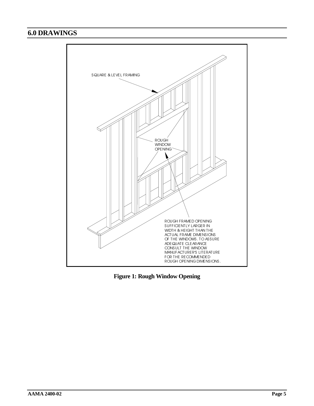## <span id="page-7-1"></span><span id="page-7-0"></span>**6.0 DRAWINGS**



**Figure 1: Rough Window Opening**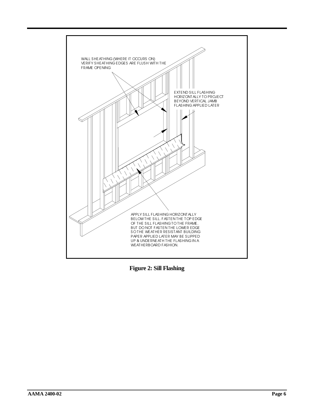<span id="page-8-0"></span>

**Figure 2: Sill Flashing**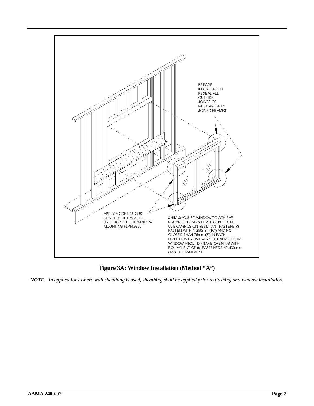<span id="page-9-0"></span>

**Figure 3A: Window Installation (Method "A")** 

*NOTE: In applications where wall sheathing is used, sheathing shall be applied prior to flashing and window installation.*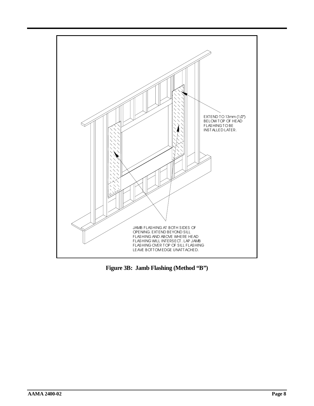<span id="page-10-0"></span>

**Figure 3B: Jamb Flashing (Method "B")**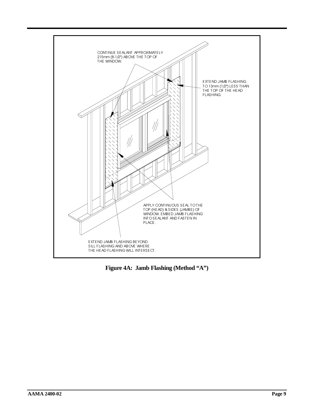<span id="page-11-0"></span>

**Figure 4A: Jamb Flashing (Method "A")**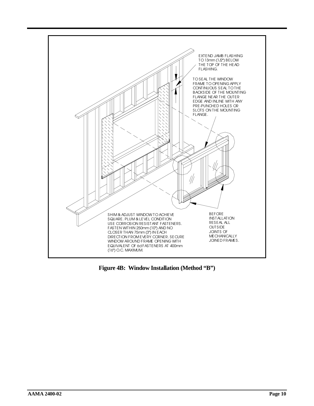<span id="page-12-0"></span>

**Figure 4B: Window Installation (Method "B")**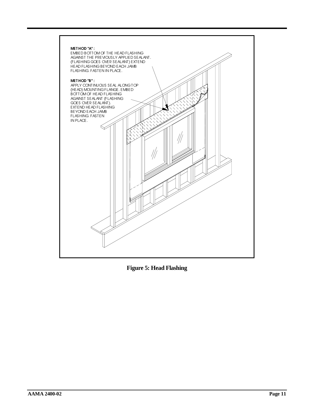<span id="page-13-0"></span>

**Figure 5: Head Flashing**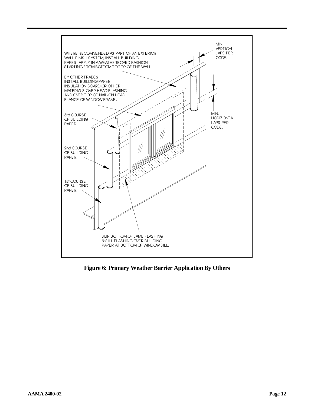<span id="page-14-0"></span>

**Figure 6: Primary Weather Barrier Application By Others**